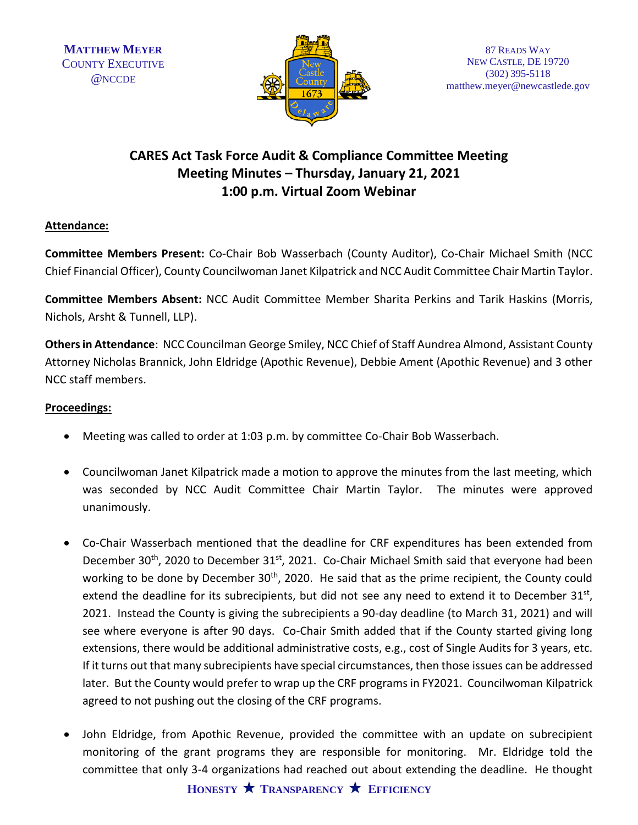

## **CARES Act Task Force Audit & Compliance Committee Meeting Meeting Minutes – Thursday, January 21, 2021 1:00 p.m. Virtual Zoom Webinar**

## **Attendance:**

**Committee Members Present:** Co-Chair Bob Wasserbach (County Auditor), Co-Chair Michael Smith (NCC Chief Financial Officer), County Councilwoman Janet Kilpatrick and NCC Audit Committee Chair Martin Taylor.

**Committee Members Absent:** NCC Audit Committee Member Sharita Perkins and Tarik Haskins (Morris, Nichols, Arsht & Tunnell, LLP).

**Others in Attendance**: NCC Councilman George Smiley, NCC Chief of Staff Aundrea Almond, Assistant County Attorney Nicholas Brannick, John Eldridge (Apothic Revenue), Debbie Ament (Apothic Revenue) and 3 other NCC staff members.

## **Proceedings:**

- Meeting was called to order at 1:03 p.m. by committee Co-Chair Bob Wasserbach.
- Councilwoman Janet Kilpatrick made a motion to approve the minutes from the last meeting, which was seconded by NCC Audit Committee Chair Martin Taylor. The minutes were approved unanimously.
- Co-Chair Wasserbach mentioned that the deadline for CRF expenditures has been extended from December 30<sup>th</sup>, 2020 to December 31<sup>st</sup>, 2021. Co-Chair Michael Smith said that everyone had been working to be done by December 30<sup>th</sup>, 2020. He said that as the prime recipient, the County could extend the deadline for its subrecipients, but did not see any need to extend it to December 31<sup>st</sup>, 2021. Instead the County is giving the subrecipients a 90-day deadline (to March 31, 2021) and will see where everyone is after 90 days. Co-Chair Smith added that if the County started giving long extensions, there would be additional administrative costs, e.g., cost of Single Audits for 3 years, etc. If it turns out that many subrecipients have special circumstances, then those issues can be addressed later. But the County would prefer to wrap up the CRF programs in FY2021. Councilwoman Kilpatrick agreed to not pushing out the closing of the CRF programs.
- John Eldridge, from Apothic Revenue, provided the committee with an update on subrecipient monitoring of the grant programs they are responsible for monitoring. Mr. Eldridge told the committee that only 3-4 organizations had reached out about extending the deadline. He thought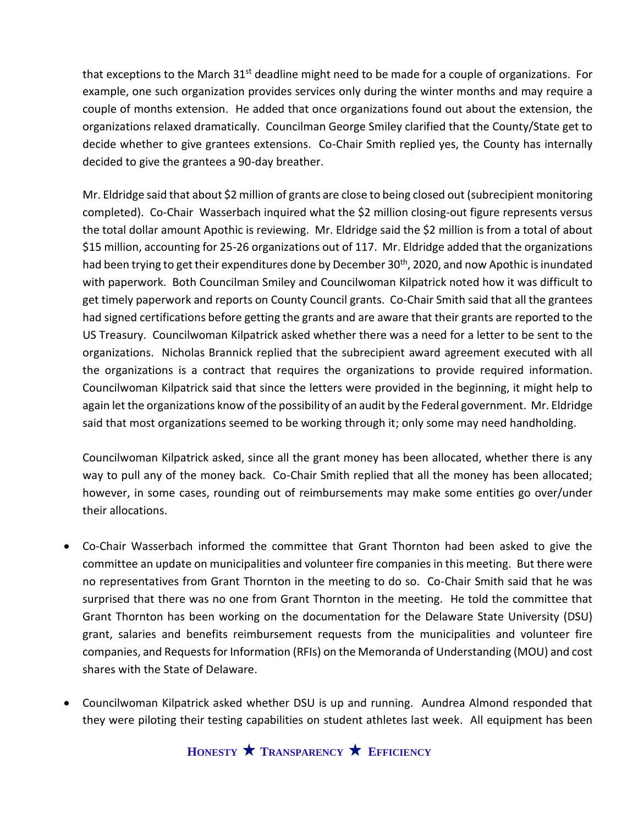that exceptions to the March  $31<sup>st</sup>$  deadline might need to be made for a couple of organizations. For example, one such organization provides services only during the winter months and may require a couple of months extension. He added that once organizations found out about the extension, the organizations relaxed dramatically. Councilman George Smiley clarified that the County/State get to decide whether to give grantees extensions. Co-Chair Smith replied yes, the County has internally decided to give the grantees a 90-day breather.

Mr. Eldridge said that about \$2 million of grants are close to being closed out (subrecipient monitoring completed). Co-Chair Wasserbach inquired what the \$2 million closing-out figure represents versus the total dollar amount Apothic is reviewing. Mr. Eldridge said the \$2 million is from a total of about \$15 million, accounting for 25-26 organizations out of 117. Mr. Eldridge added that the organizations had been trying to get their expenditures done by December 30<sup>th</sup>, 2020, and now Apothic is inundated with paperwork. Both Councilman Smiley and Councilwoman Kilpatrick noted how it was difficult to get timely paperwork and reports on County Council grants. Co-Chair Smith said that all the grantees had signed certifications before getting the grants and are aware that their grants are reported to the US Treasury. Councilwoman Kilpatrick asked whether there was a need for a letter to be sent to the organizations. Nicholas Brannick replied that the subrecipient award agreement executed with all the organizations is a contract that requires the organizations to provide required information. Councilwoman Kilpatrick said that since the letters were provided in the beginning, it might help to again let the organizations know of the possibility of an audit by the Federal government. Mr. Eldridge said that most organizations seemed to be working through it; only some may need handholding.

Councilwoman Kilpatrick asked, since all the grant money has been allocated, whether there is any way to pull any of the money back. Co-Chair Smith replied that all the money has been allocated; however, in some cases, rounding out of reimbursements may make some entities go over/under their allocations.

- Co-Chair Wasserbach informed the committee that Grant Thornton had been asked to give the committee an update on municipalities and volunteer fire companies in this meeting. But there were no representatives from Grant Thornton in the meeting to do so. Co-Chair Smith said that he was surprised that there was no one from Grant Thornton in the meeting. He told the committee that Grant Thornton has been working on the documentation for the Delaware State University (DSU) grant, salaries and benefits reimbursement requests from the municipalities and volunteer fire companies, and Requests for Information (RFIs) on the Memoranda of Understanding (MOU) and cost shares with the State of Delaware.
- Councilwoman Kilpatrick asked whether DSU is up and running. Aundrea Almond responded that they were piloting their testing capabilities on student athletes last week. All equipment has been

**HONESTY TRANSPARENCY EFFICIENCY**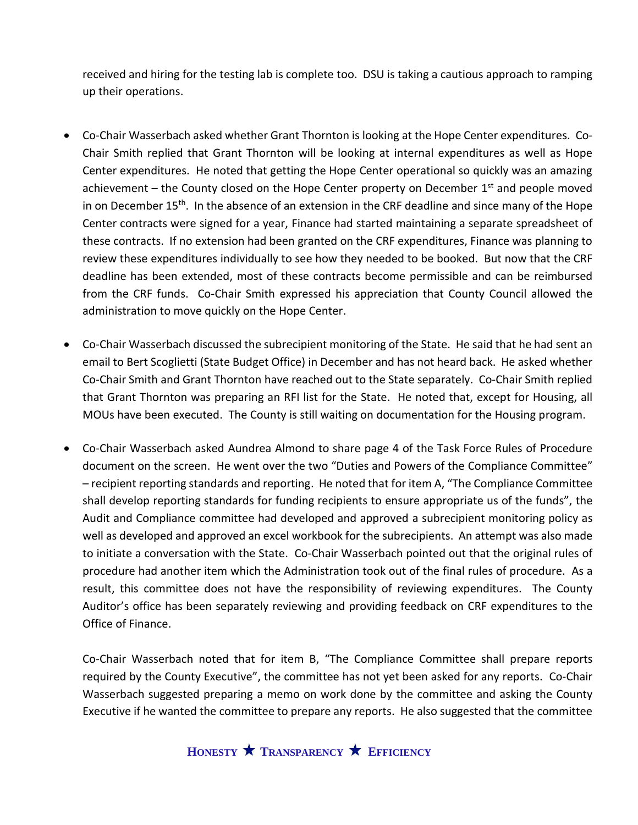received and hiring for the testing lab is complete too. DSU is taking a cautious approach to ramping up their operations.

- Co-Chair Wasserbach asked whether Grant Thornton is looking at the Hope Center expenditures. Co-Chair Smith replied that Grant Thornton will be looking at internal expenditures as well as Hope Center expenditures. He noted that getting the Hope Center operational so quickly was an amazing achievement – the County closed on the Hope Center property on December 1<sup>st</sup> and people moved in on December 15<sup>th</sup>. In the absence of an extension in the CRF deadline and since many of the Hope Center contracts were signed for a year, Finance had started maintaining a separate spreadsheet of these contracts. If no extension had been granted on the CRF expenditures, Finance was planning to review these expenditures individually to see how they needed to be booked. But now that the CRF deadline has been extended, most of these contracts become permissible and can be reimbursed from the CRF funds. Co-Chair Smith expressed his appreciation that County Council allowed the administration to move quickly on the Hope Center.
- Co-Chair Wasserbach discussed the subrecipient monitoring of the State. He said that he had sent an email to Bert Scoglietti (State Budget Office) in December and has not heard back. He asked whether Co-Chair Smith and Grant Thornton have reached out to the State separately. Co-Chair Smith replied that Grant Thornton was preparing an RFI list for the State. He noted that, except for Housing, all MOUs have been executed. The County is still waiting on documentation for the Housing program.
- Co-Chair Wasserbach asked Aundrea Almond to share page 4 of the Task Force Rules of Procedure document on the screen. He went over the two "Duties and Powers of the Compliance Committee" – recipient reporting standards and reporting. He noted that for item A, "The Compliance Committee shall develop reporting standards for funding recipients to ensure appropriate us of the funds", the Audit and Compliance committee had developed and approved a subrecipient monitoring policy as well as developed and approved an excel workbook for the subrecipients. An attempt was also made to initiate a conversation with the State. Co-Chair Wasserbach pointed out that the original rules of procedure had another item which the Administration took out of the final rules of procedure. As a result, this committee does not have the responsibility of reviewing expenditures. The County Auditor's office has been separately reviewing and providing feedback on CRF expenditures to the Office of Finance.

Co-Chair Wasserbach noted that for item B, "The Compliance Committee shall prepare reports required by the County Executive", the committee has not yet been asked for any reports. Co-Chair Wasserbach suggested preparing a memo on work done by the committee and asking the County Executive if he wanted the committee to prepare any reports. He also suggested that the committee

**HONESTY TRANSPARENCY EFFICIENCY**